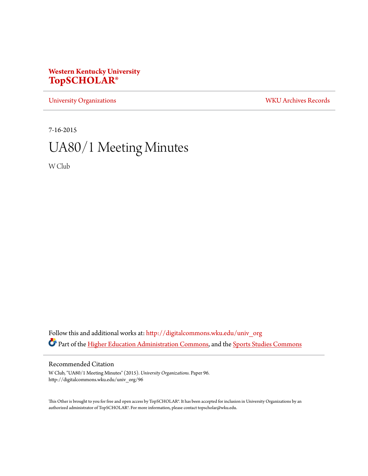# **Western Kentucky University [TopSCHOLAR®](http://digitalcommons.wku.edu?utm_source=digitalcommons.wku.edu%2Funiv_org%2F96&utm_medium=PDF&utm_campaign=PDFCoverPages)**

[University Organizations](http://digitalcommons.wku.edu/univ_org?utm_source=digitalcommons.wku.edu%2Funiv_org%2F96&utm_medium=PDF&utm_campaign=PDFCoverPages) [WKU Archives Records](http://digitalcommons.wku.edu/dlsc_ua_records?utm_source=digitalcommons.wku.edu%2Funiv_org%2F96&utm_medium=PDF&utm_campaign=PDFCoverPages)

7-16-2015

# UA80/1 Meeting Minutes

W Club

Follow this and additional works at: [http://digitalcommons.wku.edu/univ\\_org](http://digitalcommons.wku.edu/univ_org?utm_source=digitalcommons.wku.edu%2Funiv_org%2F96&utm_medium=PDF&utm_campaign=PDFCoverPages) Part of the [Higher Education Administration Commons](http://network.bepress.com/hgg/discipline/791?utm_source=digitalcommons.wku.edu%2Funiv_org%2F96&utm_medium=PDF&utm_campaign=PDFCoverPages), and the [Sports Studies Commons](http://network.bepress.com/hgg/discipline/1198?utm_source=digitalcommons.wku.edu%2Funiv_org%2F96&utm_medium=PDF&utm_campaign=PDFCoverPages)

### Recommended Citation

W Club, "UA80/1 Meeting Minutes" (2015). *University Organizations.* Paper 96. http://digitalcommons.wku.edu/univ\_org/96

This Other is brought to you for free and open access by TopSCHOLAR®. It has been accepted for inclusion in University Organizations by an authorized administrator of TopSCHOLAR®. For more information, please contact topscholar@wku.edu.